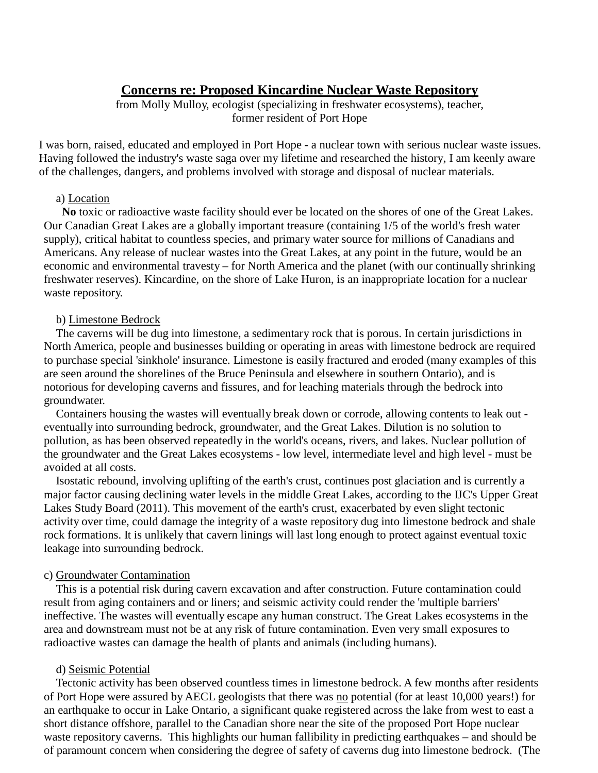# **Concerns re: Proposed Kincardine Nuclear Waste Repository**

from Molly Mulloy, ecologist (specializing in freshwater ecosystems), teacher, former resident of Port Hope

I was born, raised, educated and employed in Port Hope - a nuclear town with serious nuclear waste issues. Having followed the industry's waste saga over my lifetime and researched the history, I am keenly aware of the challenges, dangers, and problems involved with storage and disposal of nuclear materials.

## a) Location

**No** toxic or radioactive waste facility should ever be located on the shores of one of the Great Lakes. Our Canadian Great Lakes are a globally important treasure (containing 1/5 of the world's fresh water supply), critical habitat to countless species, and primary water source for millions of Canadians and Americans. Any release of nuclear wastes into the Great Lakes, at any point in the future, would be an economic and environmental travesty – for North America and the planet (with our continually shrinking freshwater reserves). Kincardine, on the shore of Lake Huron, is an inappropriate location for a nuclear waste repository.

#### b) Limestone Bedrock

The caverns will be dug into limestone, a sedimentary rock that is porous. In certain jurisdictions in North America, people and businesses building or operating in areas with limestone bedrock are required to purchase special 'sinkhole' insurance. Limestone is easily fractured and eroded (many examples of this are seen around the shorelines of the Bruce Peninsula and elsewhere in southern Ontario), and is notorious for developing caverns and fissures, and for leaching materials through the bedrock into groundwater.

Containers housing the wastes will eventually break down or corrode, allowing contents to leak out eventually into surrounding bedrock, groundwater, and the Great Lakes. Dilution is no solution to pollution, as has been observed repeatedly in the world's oceans, rivers, and lakes. Nuclear pollution of the groundwater and the Great Lakes ecosystems - low level, intermediate level and high level - must be avoided at all costs.

Isostatic rebound, involving uplifting of the earth's crust, continues post glaciation and is currently a major factor causing declining water levels in the middle Great Lakes, according to the IJC's Upper Great Lakes Study Board (2011). This movement of the earth's crust, exacerbated by even slight tectonic activity over time, could damage the integrity of a waste repository dug into limestone bedrock and shale rock formations. It is unlikely that cavern linings will last long enough to protect against eventual toxic leakage into surrounding bedrock.

#### c) Groundwater Contamination

This is a potential risk during cavern excavation and after construction. Future contamination could result from aging containers and or liners; and seismic activity could render the 'multiple barriers' ineffective. The wastes will eventually escape any human construct. The Great Lakes ecosystems in the area and downstream must not be at any risk of future contamination. Even very small exposures to radioactive wastes can damage the health of plants and animals (including humans).

#### d) Seismic Potential

Tectonic activity has been observed countless times in limestone bedrock. A few months after residents of Port Hope were assured by AECL geologists that there was no potential (for at least 10,000 years!) for an earthquake to occur in Lake Ontario, a significant quake registered across the lake from west to east a short distance offshore, parallel to the Canadian shore near the site of the proposed Port Hope nuclear waste repository caverns. This highlights our human fallibility in predicting earthquakes – and should be of paramount concern when considering the degree of safety of caverns dug into limestone bedrock. (The